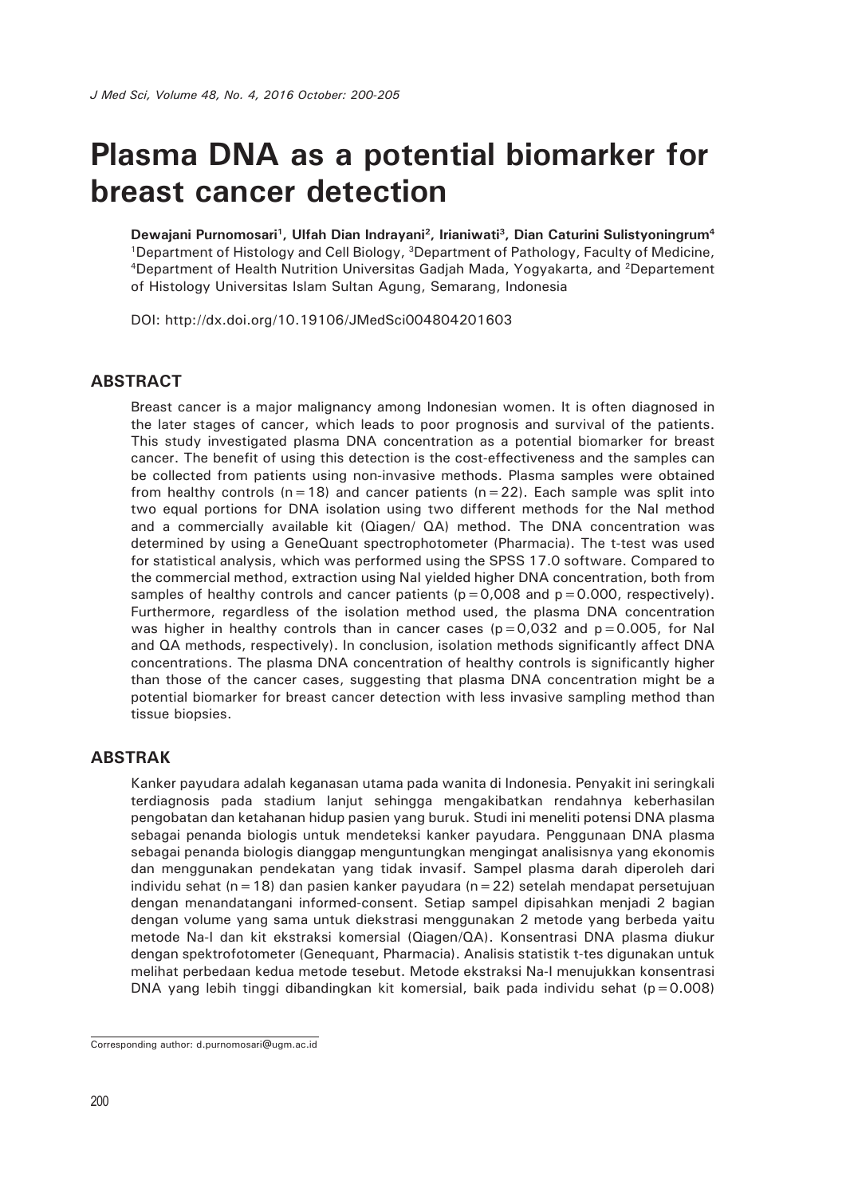# **Plasma DNA as a potential biomarker for breast cancer detection**

**Dewajani Purnomosari1, Ulfah Dian Indrayani2, Irianiwati3, Dian Caturini Sulistyoningrum4** <sup>1</sup>Department of Histology and Cell Biology, <sup>3</sup>Department of Pathology, Faculty of Medicine,<br><sup>4</sup>Department of Health Nutrition Universitas Gadjah Mada, Yogyakarta, and <sup>2</sup>Departement of Histology Universitas Islam Sultan Agung, Semarang, Indonesia

DOI: http://dx.doi.org/10.19106/JMedSci004804201603

#### **ABSTRACT**

Breast cancer is a major malignancy among Indonesian women. It is often diagnosed in the later stages of cancer, which leads to poor prognosis and survival of the patients. This study investigated plasma DNA concentration as a potential biomarker for breast cancer. The benefit of using this detection is the cost-effectiveness and the samples can be collected from patients using non-invasive methods. Plasma samples were obtained from healthy controls ( $n=18$ ) and cancer patients ( $n=22$ ). Each sample was split into two equal portions for DNA isolation using two different methods for the NaI method and a commercially available kit (Qiagen/ QA) method. The DNA concentration was determined by using a GeneQuant spectrophotometer (Pharmacia). The t-test was used for statistical analysis, which was performed using the SPSS 17.0 software. Compared to the commercial method, extraction using NaI yielded higher DNA concentration, both from samples of healthy controls and cancer patients ( $p=0.008$  and  $p=0.000$ , respectively). Furthermore, regardless of the isolation method used, the plasma DNA concentration was higher in healthy controls than in cancer cases ( $p=0.032$  and  $p=0.005$ , for NaI and QA methods, respectively). In conclusion, isolation methods significantly affect DNA concentrations. The plasma DNA concentration of healthy controls is significantly higher than those of the cancer cases, suggesting that plasma DNA concentration might be a potential biomarker for breast cancer detection with less invasive sampling method than tissue biopsies.

#### **ABSTRAK**

Kanker payudara adalah keganasan utama pada wanita di Indonesia. Penyakit ini seringkali terdiagnosis pada stadium lanjut sehingga mengakibatkan rendahnya keberhasilan pengobatan dan ketahanan hidup pasien yang buruk. Studi ini meneliti potensi DNA plasma sebagai penanda biologis untuk mendeteksi kanker payudara. Penggunaan DNA plasma sebagai penanda biologis dianggap menguntungkan mengingat analisisnya yang ekonomis dan menggunakan pendekatan yang tidak invasif. Sampel plasma darah diperoleh dari individu sehat (n=18) dan pasien kanker payudara (n=22) setelah mendapat persetujuan dengan menandatangani informed-consent. Setiap sampel dipisahkan menjadi 2 bagian dengan volume yang sama untuk diekstrasi menggunakan 2 metode yang berbeda yaitu metode Na-I dan kit ekstraksi komersial (Qiagen/QA). Konsentrasi DNA plasma diukur dengan spektrofotometer (Genequant, Pharmacia). Analisis statistik t-tes digunakan untuk melihat perbedaan kedua metode tesebut. Metode ekstraksi Na-I menujukkan konsentrasi DNA yang lebih tinggi dibandingkan kit komersial, baik pada individu sehat (p=0.008)

Corresponding author: d.purnomosari@ugm.ac.id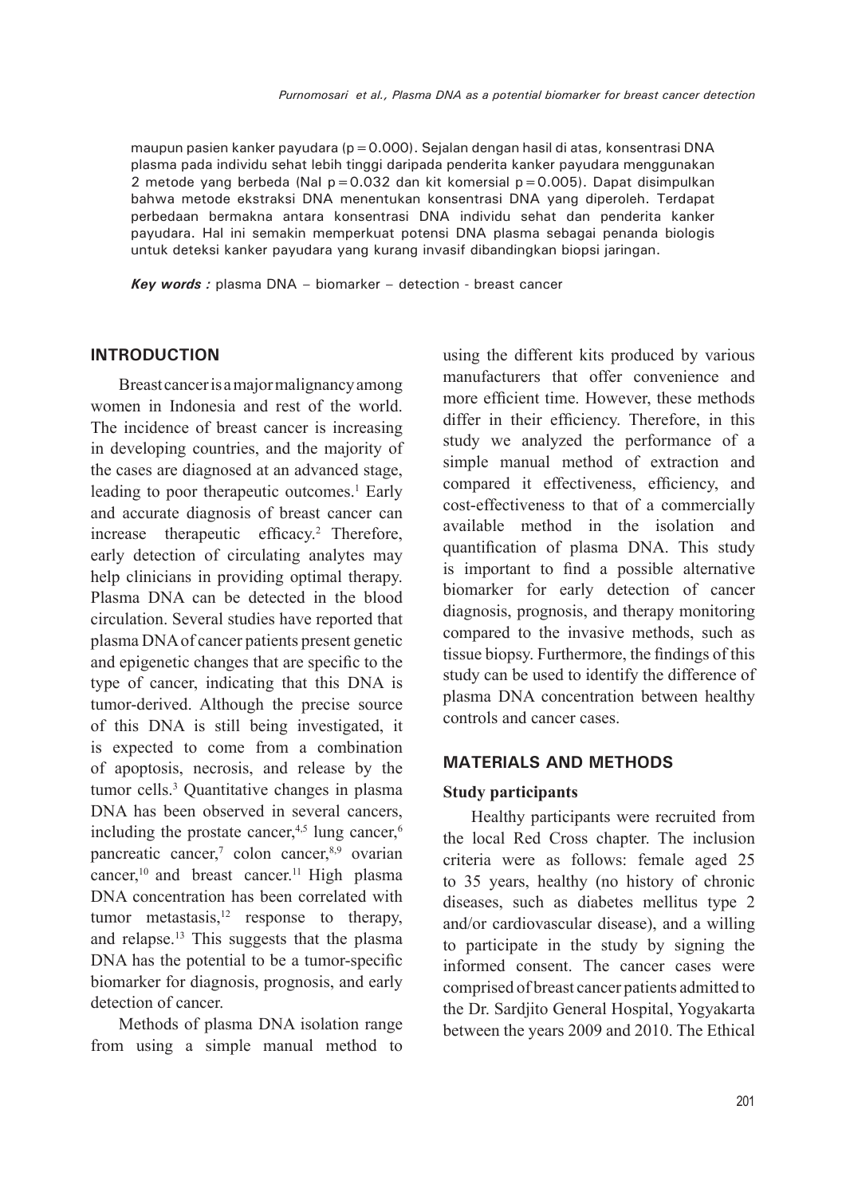maupun pasien kanker payudara ( $p = 0.000$ ). Sejalan dengan hasil di atas, konsentrasi DNA plasma pada individu sehat lebih tinggi daripada penderita kanker payudara menggunakan 2 metode yang berbeda (NaI p=0.032 dan kit komersial p=0.005). Dapat disimpulkan bahwa metode ekstraksi DNA menentukan konsentrasi DNA yang diperoleh. Terdapat perbedaan bermakna antara konsentrasi DNA individu sehat dan penderita kanker payudara. Hal ini semakin memperkuat potensi DNA plasma sebagai penanda biologis untuk deteksi kanker payudara yang kurang invasif dibandingkan biopsi jaringan.

*Key words :* plasma DNA – biomarker – detection - breast cancer

## **INTRODUCTION**

Breast cancer is a major malignancy among women in Indonesia and rest of the world. The incidence of breast cancer is increasing in developing countries, and the majority of the cases are diagnosed at an advanced stage, leading to poor therapeutic outcomes.<sup>1</sup> Early and accurate diagnosis of breast cancer can increase therapeutic efficacy.2 Therefore, early detection of circulating analytes may help clinicians in providing optimal therapy. Plasma DNA can be detected in the blood circulation. Several studies have reported that plasma DNA of cancer patients present genetic and epigenetic changes that are specific to the type of cancer, indicating that this DNA is tumor-derived. Although the precise source of this DNA is still being investigated, it is expected to come from a combination of apoptosis, necrosis, and release by the tumor cells.3 Quantitative changes in plasma DNA has been observed in several cancers, including the prostate cancer, $4,5$  lung cancer, $6$ pancreatic cancer,<sup>7</sup> colon cancer,<sup>8,9</sup> ovarian cancer,<sup>10</sup> and breast cancer.<sup>11</sup> High plasma DNA concentration has been correlated with tumor metastasis, $12$  response to therapy, and relapse.13 This suggests that the plasma DNA has the potential to be a tumor-specific biomarker for diagnosis, prognosis, and early detection of cancer.

Methods of plasma DNA isolation range from using a simple manual method to using the different kits produced by various manufacturers that offer convenience and more efficient time. However, these methods differ in their efficiency. Therefore, in this study we analyzed the performance of a simple manual method of extraction and compared it effectiveness, efficiency, and cost-effectiveness to that of a commercially available method in the isolation and quantification of plasma DNA. This study is important to find a possible alternative biomarker for early detection of cancer diagnosis, prognosis, and therapy monitoring compared to the invasive methods, such as tissue biopsy. Furthermore, the findings of this study can be used to identify the difference of plasma DNA concentration between healthy controls and cancer cases.

#### **MATERIALS AND METHODS**

#### **Study participants**

Healthy participants were recruited from the local Red Cross chapter. The inclusion criteria were as follows: female aged 25 to 35 years, healthy (no history of chronic diseases, such as diabetes mellitus type 2 and/or cardiovascular disease), and a willing to participate in the study by signing the informed consent. The cancer cases were comprised of breast cancer patients admitted to the Dr. Sardjito General Hospital, Yogyakarta between the years 2009 and 2010. The Ethical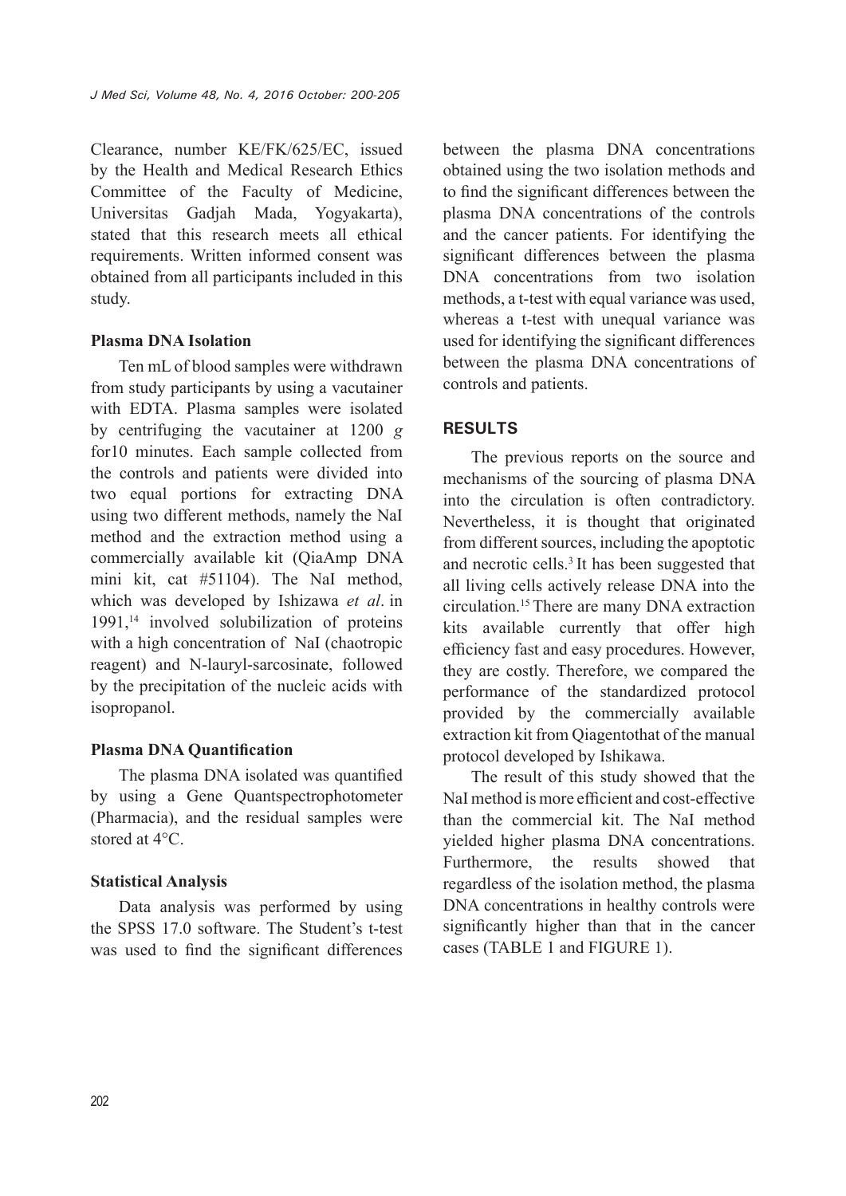Clearance, number KE/FK/625/EC, issued by the Health and Medical Research Ethics Committee of the Faculty of Medicine, Universitas Gadjah Mada, Yogyakarta), stated that this research meets all ethical requirements. Written informed consent was obtained from all participants included in this study.

## **Plasma DNA Isolation**

Ten mL of blood samples were withdrawn from study participants by using a vacutainer with EDTA. Plasma samples were isolated by centrifuging the vacutainer at 1200 *g* for10 minutes. Each sample collected from the controls and patients were divided into two equal portions for extracting DNA using two different methods, namely the NaI method and the extraction method using a commercially available kit (QiaAmp DNA mini kit, cat #51104). The NaI method, which was developed by Ishizawa *et al*. in 1991,14 involved solubilization of proteins with a high concentration of NaI (chaotropic reagent) and N-lauryl-sarcosinate, followed by the precipitation of the nucleic acids with isopropanol.

## **Plasma DNA Quantification**

The plasma DNA isolated was quantified by using a Gene Quantspectrophotometer (Pharmacia), and the residual samples were stored at 4°C.

## **Statistical Analysis**

Data analysis was performed by using the SPSS 17.0 software. The Student's t-test was used to find the significant differences

between the plasma DNA concentrations obtained using the two isolation methods and to find the significant differences between the plasma DNA concentrations of the controls and the cancer patients. For identifying the significant differences between the plasma DNA concentrations from two isolation methods, a t-test with equal variance was used, whereas a t-test with unequal variance was used for identifying the significant differences between the plasma DNA concentrations of controls and patients.

# **RESULTS**

The previous reports on the source and mechanisms of the sourcing of plasma DNA into the circulation is often contradictory. Nevertheless, it is thought that originated from different sources, including the apoptotic and necrotic cells.<sup>3</sup> It has been suggested that all living cells actively release DNA into the circulation.15 There are many DNA extraction kits available currently that offer high efficiency fast and easy procedures. However, they are costly. Therefore, we compared the performance of the standardized protocol provided by the commercially available extraction kit from Qiagentothat of the manual protocol developed by Ishikawa.

The result of this study showed that the NaI method is more efficient and cost-effective than the commercial kit. The NaI method yielded higher plasma DNA concentrations. Furthermore, the results showed that regardless of the isolation method, the plasma DNA concentrations in healthy controls were significantly higher than that in the cancer cases (TABLE 1 and FIGURE 1).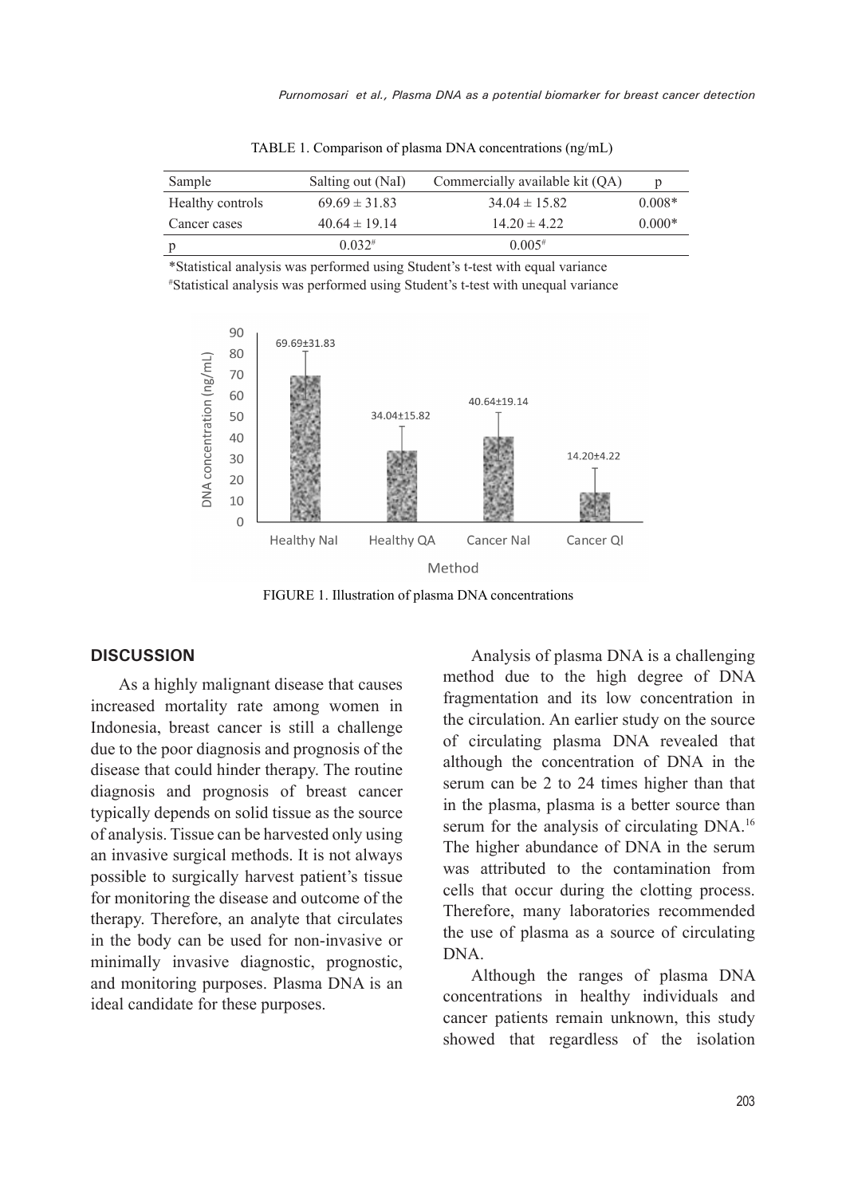| Sample           | Salting out (NaI) | Commercially available kit (QA) | p        |
|------------------|-------------------|---------------------------------|----------|
| Healthy controls | $69.69 \pm 31.83$ | $34.04 \pm 15.82$               | $0.008*$ |
| Cancer cases     | $40.64 \pm 19.14$ | $1420 \pm 422$                  | $0.000*$ |
|                  | $0.032*$          | 0.005#                          |          |

TABLE 1. Comparison of plasma DNA concentrations (ng/mL)

\*Statistical analysis was performed using Student's t-test with equal variance # Statistical analysis was performed using Student's t-test with unequal variance



FIGURE 1. Illustration of plasma DNA concentrations

#### **DISCUSSION**

As a highly malignant disease that causes increased mortality rate among women in Indonesia, breast cancer is still a challenge due to the poor diagnosis and prognosis of the disease that could hinder therapy. The routine diagnosis and prognosis of breast cancer typically depends on solid tissue as the source of analysis. Tissue can be harvested only using an invasive surgical methods. It is not always possible to surgically harvest patient's tissue for monitoring the disease and outcome of the therapy. Therefore, an analyte that circulates in the body can be used for non-invasive or minimally invasive diagnostic, prognostic, and monitoring purposes. Plasma DNA is an ideal candidate for these purposes.

Analysis of plasma DNA is a challenging method due to the high degree of DNA fragmentation and its low concentration in the circulation. An earlier study on the source of circulating plasma DNA revealed that although the concentration of DNA in the serum can be 2 to 24 times higher than that in the plasma, plasma is a better source than serum for the analysis of circulating DNA.<sup>16</sup> The higher abundance of DNA in the serum was attributed to the contamination from cells that occur during the clotting process. Therefore, many laboratories recommended the use of plasma as a source of circulating DNA.

Although the ranges of plasma DNA concentrations in healthy individuals and cancer patients remain unknown, this study showed that regardless of the isolation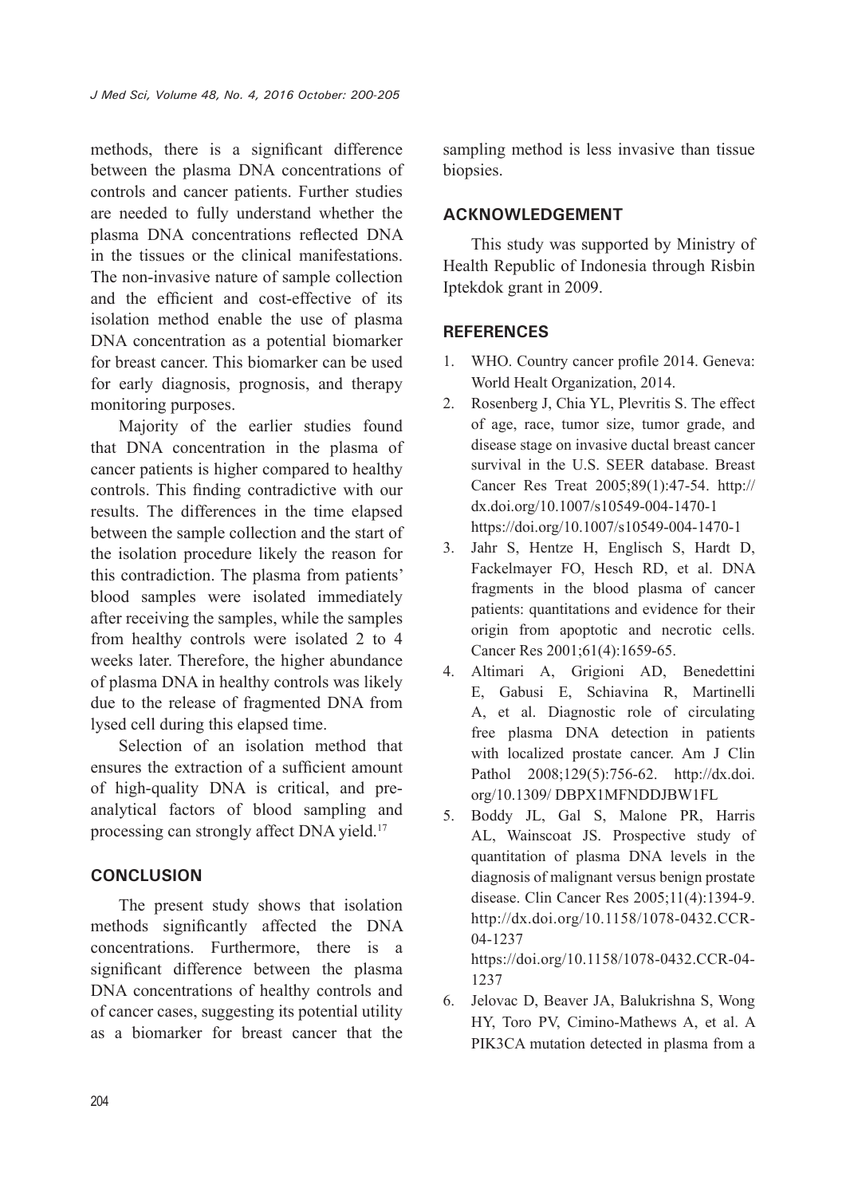methods, there is a significant difference between the plasma DNA concentrations of controls and cancer patients. Further studies are needed to fully understand whether the plasma DNA concentrations reflected DNA in the tissues or the clinical manifestations. The non-invasive nature of sample collection and the efficient and cost-effective of its isolation method enable the use of plasma DNA concentration as a potential biomarker for breast cancer. This biomarker can be used for early diagnosis, prognosis, and therapy monitoring purposes.

Majority of the earlier studies found that DNA concentration in the plasma of cancer patients is higher compared to healthy controls. This finding contradictive with our results. The differences in the time elapsed between the sample collection and the start of the isolation procedure likely the reason for this contradiction. The plasma from patients' blood samples were isolated immediately after receiving the samples, while the samples from healthy controls were isolated 2 to 4 weeks later. Therefore, the higher abundance of plasma DNA in healthy controls was likely due to the release of fragmented DNA from lysed cell during this elapsed time.

Selection of an isolation method that ensures the extraction of a sufficient amount of high-quality DNA is critical, and preanalytical factors of blood sampling and processing can strongly affect DNA yield.17

# **CONCLUSION**

The present study shows that isolation methods significantly affected the DNA concentrations. Furthermore, there is a significant difference between the plasma DNA concentrations of healthy controls and of cancer cases, suggesting its potential utility as a biomarker for breast cancer that the sampling method is less invasive than tissue biopsies.

# **ACKNOWLEDGEMENT**

This study was supported by Ministry of Health Republic of Indonesia through Risbin Iptekdok grant in 2009.

# **REFERENCES**

- 1. WHO. Country cancer profile 2014. Geneva: World Healt Organization, 2014.
- 2. Rosenberg J, Chia YL, Plevritis S. The effect of age, race, tumor size, tumor grade, and disease stage on invasive ductal breast cancer survival in the U.S. SEER database. Breast Cancer Res Treat 2005;89(1):47-54. http:// dx.doi.org/10.1007/s10549-004-1470-1 https://doi.org/10.1007/s10549-004-1470-1
- 3. Jahr S, Hentze H, Englisch S, Hardt D, Fackelmayer FO, Hesch RD, et al. DNA fragments in the blood plasma of cancer patients: quantitations and evidence for their origin from apoptotic and necrotic cells. Cancer Res 2001;61(4):1659-65.
- 4. Altimari A, Grigioni AD, Benedettini E, Gabusi E, Schiavina R, Martinelli A, et al. Diagnostic role of circulating free plasma DNA detection in patients with localized prostate cancer. Am J Clin Pathol 2008;129(5):756-62. http://dx.doi. org/10.1309/ DBPX1MFNDDJBW1FL
- 5. Boddy JL, Gal S, Malone PR, Harris AL, Wainscoat JS. Prospective study of quantitation of plasma DNA levels in the diagnosis of malignant versus benign prostate disease. Clin Cancer Res 2005;11(4):1394-9. http://dx.doi.org/10.1158/1078-0432.CCR-04-1237 https://doi.org/10.1158/1078-0432.CCR-04-
- 6. Jelovac D, Beaver JA, Balukrishna S, Wong HY, Toro PV, Cimino-Mathews A, et al. A PIK3CA mutation detected in plasma from a

1237